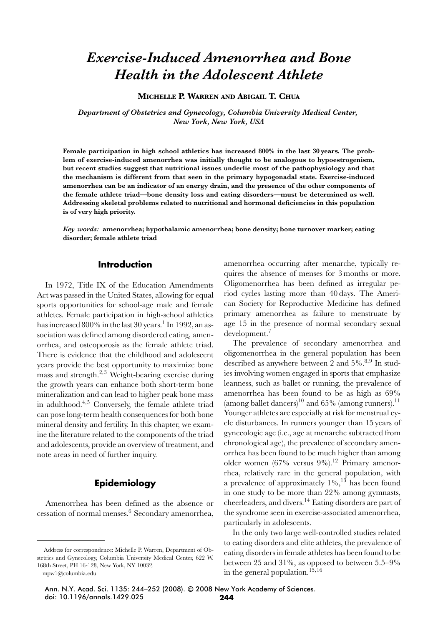# *Exercise-Induced Amenorrhea and Bone Health in the Adolescent Athlete*

**MICHELLE P. WARREN AND ABIGAIL T. CHUA**

*Department of Obstetrics and Gynecology, Columbia University Medical Center, New York, New York, USA*

**Female participation in high school athletics has increased 800% in the last 30 years. The problem of exercise-induced amenorrhea was initially thought to be analogous to hypoestrogenism, but recent studies suggest that nutritional issues underlie most of the pathophysiology and that the mechanism is different from that seen in the primary hypogonadal state. Exercise-induced amenorrhea can be an indicator of an energy drain, and the presence of the other components of the female athlete triad—bone density loss and eating disorders—must be determined as well. Addressing skeletal problems related to nutritional and hormonal deficiencies in this population is of very high priority.**

*Key words:* **amenorrhea; hypothalamic amenorrhea; bone density; bone turnover marker; eating disorder; female athlete triad**

## **Introduction**

In 1972, Title IX of the Education Amendments Act was passed in the United States, allowing for equal sports opportunities for school-age male and female athletes. Female participation in high-school athletics has increased 800% in the last 30 years.<sup>1</sup> In 1992, an association was defined among disordered eating, amenorrhea, and osteoporosis as the female athlete triad. There is evidence that the childhood and adolescent years provide the best opportunity to maximize bone mass and strength.<sup>2</sup>*,*<sup>3</sup> Weight-bearing exercise during the growth years can enhance both short-term bone mineralization and can lead to higher peak bone mass in adulthood.4*,*<sup>5</sup> Conversely, the female athlete triad can pose long-term health consequences for both bone mineral density and fertility. In this chapter, we examine the literature related to the components of the triad and adolescents, provide an overview of treatment, and note areas in need of further inquiry.

# **Epidemiology**

Amenorrhea has been defined as the absence or cessation of normal menses.6 Secondary amenorrhea, amenorrhea occurring after menarche, typically requires the absence of menses for 3 months or more. Oligomenorrhea has been defined as irregular period cycles lasting more than 40 days. The American Society for Reproductive Medicine has defined primary amenorrhea as failure to menstruate by age 15 in the presence of normal secondary sexual development.<sup>7</sup>

The prevalence of secondary amenorrhea and oligomenorrhea in the general population has been described as anywhere between 2 and 5%.<sup>8</sup>*,*<sup>9</sup> In studies involving women engaged in sports that emphasize leanness, such as ballet or running, the prevalence of amenorrhea has been found to be as high as 69% (among ballet dancers)<sup>10</sup> and 65% (among runners).<sup>11</sup> Younger athletes are especially at risk for menstrual cycle disturbances. In runners younger than 15 years of gynecologic age (i.e., age at menarche subtracted from chronological age), the prevalence of secondary amenorrhea has been found to be much higher than among older women (67% versus 9%).<sup>12</sup> Primary amenorrhea, relatively rare in the general population, with a prevalence of approximately  $1\%$ ,<sup>13</sup> has been found in one study to be more than 22% among gymnasts, cheerleaders, and divers.14 Eating disorders are part of the syndrome seen in exercise-associated amenorrhea, particularly in adolescents.

In the only two large well-controlled studies related to eating disorders and elite athletes, the prevalence of eating disorders in female athletes has been found to be between 25 and 31%, as opposed to between 5.5–9% in the general population.<sup>15</sup>*,*<sup>16</sup>

Ann. N.Y. Acad. Sci. 1135: 244–252 (2008). © 2008 New York Academy of Sciences. doi: 10.1196/annals.1429.025 **244**

Address for correspondence: Michelle P. Warren, Department of Obstetrics and Gynecology, Columbia University Medical Center, 622 W. 168th Street, PH 16-128, New York, NY 10032.

mpw1@columbia.edu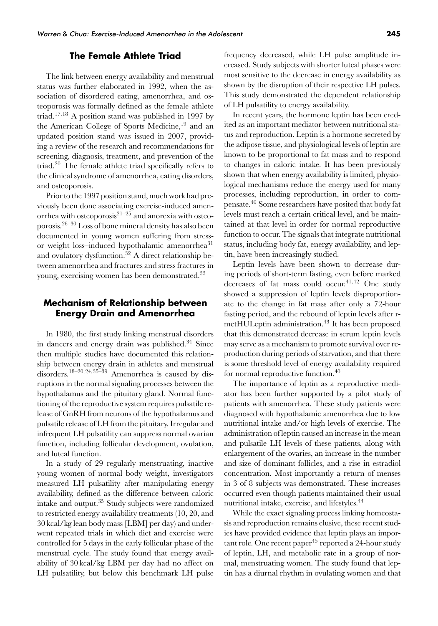## **The Female Athlete Triad**

The link between energy availability and menstrual status was further elaborated in 1992, when the association of disordered eating, amenorrhea, and osteoporosis was formally defined as the female athlete triad.<sup>17</sup>*,*<sup>18</sup> A position stand was published in 1997 by the American College of Sports Medicine,<sup>19</sup> and an updated position stand was issued in 2007, providing a review of the research and recommendations for screening, diagnosis, treatment, and prevention of the triad.<sup>20</sup> The female athlete triad specifically refers to the clinical syndrome of amenorrhea, eating disorders, and osteoporosis.

Prior to the 1997 position stand, much work had previously been done associating exercise-induced amenorrhea with osteoporosis $2^{1-25}$  and anorexia with osteoporosis. $26-30$  Loss of bone mineral density has also been documented in young women suffering from stressor weight loss–induced hypothalamic amenorrhea31 and ovulatory dysfunction.<sup>32</sup> A direct relationship between amenorrhea and fractures and stress fractures in young, exercising women has been demonstrated.<sup>33</sup>

# **Mechanism of Relationship between Energy Drain and Amenorrhea**

In 1980, the first study linking menstrual disorders in dancers and energy drain was published.<sup>34</sup> Since then multiple studies have documented this relationship between energy drain in athletes and menstrual disorders.18–20*,*24*,*35–39 Amenorrhea is caused by disruptions in the normal signaling processes between the hypothalamus and the pituitary gland. Normal functioning of the reproductive system requires pulsatile release of GnRH from neurons of the hypothalamus and pulsatile release of LH from the pituitary. Irregular and infrequent LH pulsatility can suppress normal ovarian function, including follicular development, ovulation, and luteal function.

In a study of 29 regularly menstruating, inactive young women of normal body weight, investigators measured LH pulsatility after manipulating energy availability, defined as the difference between caloric intake and output.35 Study subjects were randomized to restricted energy availability treatments (10, 20, and 30 kcal/kg lean body mass [LBM] per day) and underwent repeated trials in which diet and exercise were controlled for 5 days in the early follicular phase of the menstrual cycle. The study found that energy availability of 30 kcal/kg LBM per day had no affect on LH pulsatility, but below this benchmark LH pulse frequency decreased, while LH pulse amplitude increased. Study subjects with shorter luteal phases were most sensitive to the decrease in energy availability as shown by the disruption of their respective LH pulses. This study demonstrated the dependent relationship of LH pulsatility to energy availability.

In recent years, the hormone leptin has been credited as an important mediator between nutritional status and reproduction. Leptin is a hormone secreted by the adipose tissue, and physiological levels of leptin are known to be proportional to fat mass and to respond to changes in caloric intake. It has been previously shown that when energy availability is limited, physiological mechanisms reduce the energy used for many processes, including reproduction, in order to compensate.<sup>40</sup> Some researchers have posited that body fat levels must reach a certain critical level, and be maintained at that level in order for normal reproductive function to occur. The signals that integrate nutritional status, including body fat, energy availability, and leptin, have been increasingly studied.

Leptin levels have been shown to decrease during periods of short-term fasting, even before marked decreases of fat mass could occur.<sup>41</sup>*,*<sup>42</sup> One study showed a suppression of leptin levels disproportionate to the change in fat mass after only a 72-hour fasting period, and the rebound of leptin levels after rmetHULeptin administration.<sup>43</sup> It has been proposed that this demonstrated decrease in serum leptin levels may serve as a mechanism to promote survival over reproduction during periods of starvation, and that there is some threshold level of energy availability required for normal reproductive function.40

The importance of leptin as a reproductive mediator has been further supported by a pilot study of patients with amenorrhea. These study patients were diagnosed with hypothalamic amenorrhea due to low nutritional intake and/or high levels of exercise. The administration of leptin caused an increase in the mean and pulsatile LH levels of these patients, along with enlargement of the ovaries, an increase in the number and size of dominant follicles, and a rise in estradiol concentration. Most importantly a return of menses in 3 of 8 subjects was demonstrated. These increases occurred even though patients maintained their usual nutritional intake, exercise, and lifestyles.<sup>44</sup>

While the exact signaling process linking homeostasis and reproduction remains elusive, these recent studies have provided evidence that leptin plays an important role. One recent paper $45$  reported a 24-hour study of leptin, LH, and metabolic rate in a group of normal, menstruating women. The study found that leptin has a diurnal rhythm in ovulating women and that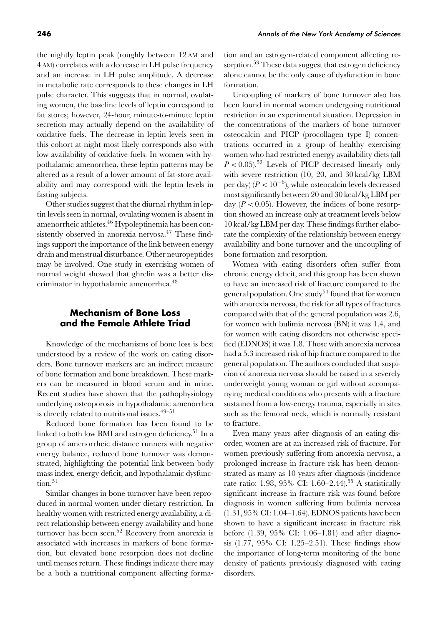the nightly leptin peak (roughly between 12 AM and 4 AM) correlates with a decrease in LH pulse frequency and an increase in LH pulse amplitude. A decrease in metabolic rate corresponds to these changes in LH pulse character. This suggests that in normal, ovulating women, the baseline levels of leptin correspond to fat stores; however, 24-hour, minute-to-minute leptin secretion may actually depend on the availability of oxidative fuels. The decrease in leptin levels seen in this cohort at night most likely corresponds also with low availability of oxidative fuels. In women with hypothalamic amenorrhea, these leptin patterns may be altered as a result of a lower amount of fat-store availability and may correspond with the leptin levels in fasting subjects.

Other studies suggest that the diurnal rhythm in leptin levels seen in normal, ovulating women is absent in amenorrheic athletes.46 Hypoleptinemia has been consistently observed in anorexia nervosa.<sup>47</sup> These findings support the importance of the link between energy drain and menstrual disturbance. Other neuropeptides may be involved. One study in exercising women of normal weight showed that ghrelin was a better discriminator in hypothalamic amenorrhea.<sup>48</sup>

# **Mechanism of Bone Loss and the Female Athlete Triad**

Knowledge of the mechanisms of bone loss is best understood by a review of the work on eating disorders. Bone turnover markers are an indirect measure of bone formation and bone breakdown. These markers can be measured in blood serum and in urine. Recent studies have shown that the pathophysiology underlying osteoporosis in hypothalamic amenorrhea is directly related to nutritional issues.<sup>49–51</sup>

Reduced bone formation has been found to be linked to both low BMI and estrogen deficiency.<sup>51</sup> In a group of amenorrheic distance runners with negative energy balance, reduced bone turnover was demonstrated, highlighting the potential link between body mass index, energy deficit, and hypothalamic dysfunc- $\frac{\text{tion}}{2}$ .

Similar changes in bone turnover have been reproduced in normal women under dietary restriction. In healthy women with restricted energy availability, a direct relationship between energy availability and bone turnover has been seen.<sup>52</sup> Recovery from anorexia is associated with increases in markers of bone formation, but elevated bone resorption does not decline until menses return. These findings indicate there may be a both a nutritional component affecting formation and an estrogen-related component affecting resorption.<sup>53</sup> These data suggest that estrogen deficiency alone cannot be the only cause of dysfunction in bone formation.

Uncoupling of markers of bone turnover also has been found in normal women undergoing nutritional restriction in an experimental situation. Depression in the concentrations of the markers of bone turnover osteocalcin and PICP (procollagen type I) concentrations occurred in a group of healthy exercising women who had restricted energy availability diets (all  $P < 0.05$ <sup>52</sup> Levels of PICP decreased linearly only with severe restriction (10, 20, and 30 kcal/kg LBM per day)  $(P < 10^{-6})$ , while osteocalcin levels decreased most significantly between 20 and 30 kcal/kg LBM per day  $(P < 0.05)$ . However, the indices of bone resorption showed an increase only at treatment levels below 10 kcal/kg LBM per day. These findings further elaborate the complexity of the relationship between energy availability and bone turnover and the uncoupling of bone formation and resorption.

Women with eating disorders often suffer from chronic energy deficit, and this group has been shown to have an increased risk of fracture compared to the general population. One study<sup>54</sup> found that for women with anorexia nervosa, the risk for all types of fractures compared with that of the general population was 2.6, for women with bulimia nervosa (BN) it was 1.4, and for women with eating disorders not otherwise specified (EDNOS) it was 1.8. Those with anorexia nervosa had a 5.3 increased risk of hip fracture compared to the general population. The authors concluded that suspicion of anorexia nervosa should be raised in a severely underweight young woman or girl without accompanying medical conditions who presents with a fracture sustained from a low-energy trauma, especially in sites such as the femoral neck, which is normally resistant to fracture.

Even many years after diagnosis of an eating disorder, women are at an increased risk of fracture. For women previously suffering from anorexia nervosa, a prolonged increase in fracture risk has been demonstrated as many as 10 years after diagnosis (incidence rate ratio: 1.98, 95% CI: 1.60–2.44).<sup>55</sup> A statistically significant increase in fracture risk was found before diagnosis in women suffering from bulimia nervosa (1.31, 95% CI: 1.04–1.64). EDNOS patients have been shown to have a significant increase in fracture risk before (1.39, 95% CI: 1.06–1.81) and after diagnosis (1.77, 95% CI: 1.25–2.51). These findings show the importance of long-term monitoring of the bone density of patients previously diagnosed with eating disorders.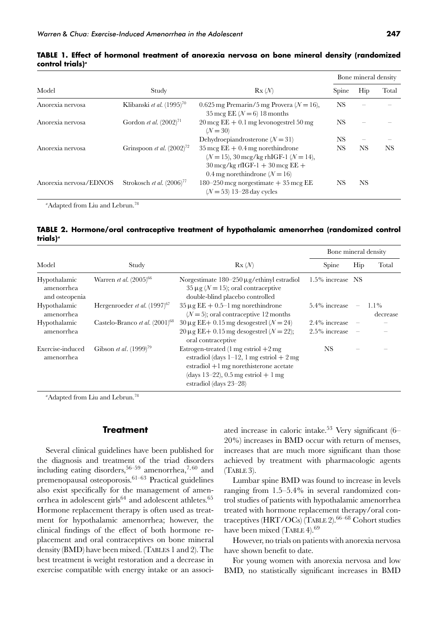|                        |                                    |                                                                                                                                                             |           | Bone mineral density |       |
|------------------------|------------------------------------|-------------------------------------------------------------------------------------------------------------------------------------------------------------|-----------|----------------------|-------|
| Model                  | Study                              | Rx(N)                                                                                                                                                       | Spine     | Hip                  | Total |
| Anorexia nervosa       | Klibanski et al. $(1995)^{70}$     | $0.625$ mg Premarin/5 mg Provera ( $N = 16$ ),<br>35 mcg EE $(N = 6)$ 18 months                                                                             | <b>NS</b> |                      |       |
| Anorexia nervosa       | Gordon <i>et al.</i> $(2002)^{71}$ | $20 \,\mathrm{mcg} \, \mathrm{EE} + 0.1 \,\mathrm{mg}$ levonogestrel 50 mg<br>$(N = 30)$                                                                    | NS        |                      |       |
|                        |                                    | Dehydroepiandrosterone $(N = 31)$                                                                                                                           | NS        |                      |       |
| Anorexia nervosa       | Grinspoon et al. $(2002)^{72}$     | $35 \text{~meg}$ EE $+0.4 \text{~mg}$ norethindrone<br>$(N = 15)$ , 30 mcg/kg rhIGF-1 $(N = 14)$ ,<br>$30 \,\text{mcg/kg}$ rfIGF-1 + $30 \,\text{mcg}$ EE + | <b>NS</b> | NS                   | NS    |
| Anorexia nervosa/EDNOS | Strokosch et al. $(2006)^{77}$     | 0.4 mg norethindrone $(N = 16)$<br>$180-250$ mcg norgestimate $+35$ mcg EE<br>$(N=53)$ 13-28 day cycles                                                     | NS        | NS                   |       |

**TABLE 1. Effect of hormonal treatment of anorexia nervosa on bone mineral density (randomized control trials)***<sup>a</sup>*

<sup>a</sup> Adapted from Liu and Lebrun.<sup>78</sup>

#### **TABLE 2. Hormone/oral contraceptive treatment of hypothalamic amenorrhea (randomized control trials)***<sup>a</sup>*

|                                              |                                     |                                                                                                                                                                                                                                            | Bone mineral density                 |        |                     |
|----------------------------------------------|-------------------------------------|--------------------------------------------------------------------------------------------------------------------------------------------------------------------------------------------------------------------------------------------|--------------------------------------|--------|---------------------|
| Model                                        | Study                               | Rx(N)                                                                                                                                                                                                                                      | Spine                                | Hip    | Total               |
| Hypothalamic<br>amenorrhea<br>and osteopenia | Warren <i>et al.</i> $(2005)^{66}$  | Norgestimate $180-250 \mu$ g/ethinyl estradiol<br>$35 \mu$ g ( $\mathcal{N} = 15$ ); oral contraceptive<br>double-blind placebo controlled                                                                                                 | 1.5% increase NS                     |        |                     |
| Hypothalamic<br>amenorrhea                   | Hergenroeder et al. $(1997)^{67}$   | $35 \mu$ g EE + 0.5-1 mg norethindrone<br>$(N=5)$ ; oral contraceptive 12 months                                                                                                                                                           | $5.4\%$ increase                     | $\sim$ | $1.1\%$<br>decrease |
| Hypothalamic<br>amenorrhea                   | Castelo-Branco et al. $(2001)^{68}$ | $30 \mu$ g EE+ 0.15 mg desogestrel ( $\mathcal{N} = 24$ )<br>$20 \mu$ g EE+ 0.15 mg desogestrel ( $\mathcal{N} = 22$ );<br>oral contraceptive                                                                                              | $2.4\%$ increase<br>$2.5\%$ increase |        |                     |
| Exercise-induced<br>amenorrhea               | Gibson et al. $(1999)^{79}$         | Estrogen-treated $(1 \text{ mg} \text{ estriol} + 2 \text{ mg})$<br>estradiol (days $1-12$ , 1 mg estriol $+2$ mg<br>$\text{estradiol} + l$ mg norethisterone acetate<br>(days 13–22), 0.5 mg estriol $+1$ mg<br>estradiol (days $23-28$ ) | NS                                   |        |                     |

<sup>a</sup> Adapted from Liu and Lebrun.<sup>78</sup>

#### **Treatment**

Several clinical guidelines have been published for the diagnosis and treatment of the triad disorders including eating disorders,56–59 amenorrhea,7*,*<sup>60</sup> and premenopausal osteoporosis.61–63 Practical guidelines also exist specifically for the management of amenorrhea in adolescent girls $^{64}$  and adolescent athletes. $^{65}$ Hormone replacement therapy is often used as treatment for hypothalamic amenorrhea; however, the clinical findings of the effect of both hormone replacement and oral contraceptives on bone mineral density (BMD) have been mixed. (TABLES 1 and 2). The best treatment is weight restoration and a decrease in exercise compatible with energy intake or an associated increase in caloric intake.<sup>53</sup> Very significant  $(6-$ 20%) increases in BMD occur with return of menses, increases that are much more significant than those achieved by treatment with pharmacologic agents (TABLE 3).

Lumbar spine BMD was found to increase in levels ranging from 1.5–5.4% in several randomized control studies of patients with hypothalamic amenorrhea treated with hormone replacement therapy/oral contraceptives (HRT/OCs) (TABLE 2).<sup>66–68</sup> Cohort studies have been mixed (TABLE 4).  $\!69}$ 

However, no trials on patients with anorexia nervosa have shown benefit to date.

For young women with anorexia nervosa and low BMD, no statistically significant increases in BMD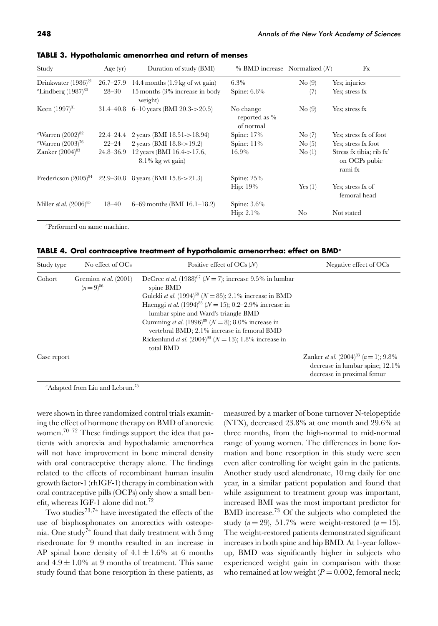| Study                              | Age $(yr)$    | Duration of study (BMI)                          | $%$ BMD increase Normalized $(N)$       |        | Fx                                                   |
|------------------------------------|---------------|--------------------------------------------------|-----------------------------------------|--------|------------------------------------------------------|
| Drinkwater (1986) <sup>21</sup>    | $26.7 - 27.9$ | 14.4 months $(1.9 \text{ kg of wt gain})$        | $6.3\%$                                 | No(9)  | Yes; injuries                                        |
| "Lindberg $(1987)^{80}$            | $28 - 30$     | 15 months (3% increase in body<br>weight)        | Spine: 6.6%                             | (7)    | Yes; stress fx                                       |
| Keen $(1997)^{81}$                 | $31.4 - 40.8$ | 6-10 years (BMI 20.3->20.5)                      | No change<br>reported as %<br>of normal | No(9)  | Yes: stress fx                                       |
| "Warren $(2002)^{82}$              | $22.4 - 24.4$ | 2 years (BMI $18.51 > 18.94$ )                   | Spine: 17%                              | No(7)  | Yes; stress fx of foot                               |
| "Warren $(2003)^{76}$              | $22 - 24$     | 2 years (BMI 18.8->19.2)                         | Spine: $11\%$                           | No(5)  | Yes; stress fx foot                                  |
| Zanker $(2004)^{83}$               | $24.8 - 36.9$ | 12 years (BMI 16.4->17.6,<br>$8.1\%$ kg wt gain) | 16.9%                                   | No(1)  | Stress fx tibia; rib fx'<br>on OCPs pubic<br>rami fx |
| Fredericson $(2005)^{84}$          | $22.9 - 30.8$ | 8 years (BMI 15.8->21.3)                         | Spine: $25%$                            |        |                                                      |
|                                    |               |                                                  | Hip: 19%                                | Yes(1) | Yes; stress fx of<br>femoral head                    |
| Miller <i>et al.</i> $(2006)^{85}$ | $18 - 40$     | 6–69 months (BMI 16.1–18.2)                      | Spine: $3.6\%$                          |        |                                                      |
|                                    |               |                                                  | Hip: $2.1\%$                            | No.    | Not stated                                           |

**TABLE 3. Hypothalamic amenorrhea and return of menses**

*a* Performed on same machine.

**TABLE 4. Oral contraceptive treatment of hypothalamic amenorrhea: effect on BMD***<sup>a</sup>*

| Study type  | No effect of OCs                      | Positive effect of $OCs(N)$                                                                                                                                                                           | Negative effect of OCs                                                                                                  |
|-------------|---------------------------------------|-------------------------------------------------------------------------------------------------------------------------------------------------------------------------------------------------------|-------------------------------------------------------------------------------------------------------------------------|
| Cohort      | Gremion et al. (2001)<br>$(n=9)^{86}$ | DeCree <i>et al.</i> (1988) <sup>87</sup> ( $\mathcal{N} = 7$ ); increase 9.5% in lumbar<br>spine BMD                                                                                                 |                                                                                                                         |
|             |                                       | Gulekli et al. (1994) <sup>69</sup> ( $\mathcal{N} = 85$ ); 2.1% increase in BMD<br>Haenggi et al. $(1994)^{88}$ ( $\mathcal{N} = 15$ ); 0.2-2.9% increase in<br>lumbar spine and Ward's triangle BMD |                                                                                                                         |
|             |                                       | Cumming <i>et al.</i> (1996) <sup>89</sup> ( $\mathcal{N} = 8$ ); 8.0% increase in<br>vertebral BMD; 2.1% increase in femoral BMD                                                                     |                                                                                                                         |
|             |                                       | Rickenlund <i>et al.</i> $(2004)^{90}$ ( $\mathcal{N} = 13$ ); 1.8% increase in<br>total BMD                                                                                                          |                                                                                                                         |
| Case report |                                       |                                                                                                                                                                                                       | Zanker <i>et al.</i> $(2004)^{83}$ $(n = 1)$ ; 9.8%<br>decrease in lumbar spine; $12.1\%$<br>decrease in proximal femur |

<sup>a</sup>Adapted from Liu and Lebrun.<sup>78</sup>

were shown in three randomized control trials examining the effect of hormone therapy on BMD of anorexic women.<sup>70–72</sup> These findings support the idea that patients with anorexia and hypothalamic amenorrhea will not have improvement in bone mineral density with oral contraceptive therapy alone. The findings related to the effects of recombinant human insulin growth factor-1 (rhIGF-1) therapy in combination with oral contraceptive pills (OCPs) only show a small benefit, whereas IGF-1 alone did not.<sup>72</sup>

Two studies<sup>73</sup>*,*<sup>74</sup> have investigated the effects of the use of bisphosphonates on anorectics with osteopenia. One study<sup>74</sup> found that daily treatment with 5 mg risedronate for 9 months resulted in an increase in AP spinal bone density of  $4.1 \pm 1.6\%$  at 6 months and  $4.9 \pm 1.0\%$  at 9 months of treatment. This same study found that bone resorption in these patients, as measured by a marker of bone turnover N-telopeptide (NTX), decreased 23.8% at one month and 29.6% at three months, from the high-normal to mid-normal range of young women. The differences in bone formation and bone resorption in this study were seen even after controlling for weight gain in the patients. Another study used alendronate, 10 mg daily for one year, in a similar patient population and found that while assignment to treatment group was important, increased BMI was the most important predictor for BMD increase.<sup>73</sup> Of the subjects who completed the study  $(n=29)$ , 51.7% were weight-restored  $(n=15)$ . The weight-restored patients demonstrated significant increases in both spine and hip BMD. At 1-year followup, BMD was significantly higher in subjects who experienced weight gain in comparison with those who remained at low weight  $(P = 0.002$ , femoral neck;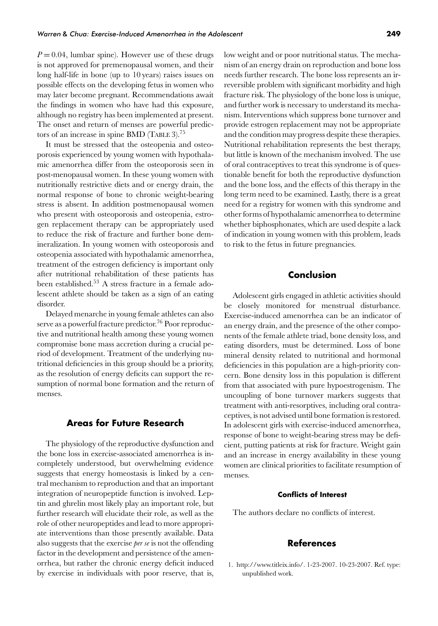$P = 0.04$ , lumbar spine). However use of these drugs is not approved for premenopausal women, and their long half-life in bone (up to 10 years) raises issues on possible effects on the developing fetus in women who may later become pregnant. Recommendations await the findings in women who have had this exposure, although no registry has been implemented at present. The onset and return of menses are powerful predictors of an increase in spine BMD (TABLE 3).<sup>75</sup>

It must be stressed that the osteopenia and osteoporosis experienced by young women with hypothalamic amenorrhea differ from the osteoporosis seen in post-menopausal women. In these young women with nutritionally restrictive diets and or energy drain, the normal response of bone to chronic weight-bearing stress is absent. In addition postmenopausal women who present with osteoporosis and osteopenia, estrogen replacement therapy can be appropriately used to reduce the risk of fracture and further bone demineralization. In young women with osteoporosis and osteopenia associated with hypothalamic amenorrhea, treatment of the estrogen deficiency is important only after nutritional rehabilitation of these patients has been established.<sup>53</sup> A stress fracture in a female adolescent athlete should be taken as a sign of an eating disorder.

Delayed menarche in young female athletes can also serve as a powerful fracture predictor.<sup>76</sup> Poor reproductive and nutritional health among these young women compromise bone mass accretion during a crucial period of development. Treatment of the underlying nutritional deficiencies in this group should be a priority, as the resolution of energy deficits can support the resumption of normal bone formation and the return of menses.

## **Areas for Future Research**

The physiology of the reproductive dysfunction and the bone loss in exercise-associated amenorrhea is incompletely understood, but overwhelming evidence suggests that energy homeostasis is linked by a central mechanism to reproduction and that an important integration of neuropeptide function is involved. Leptin and ghrelin most likely play an important role, but further research will elucidate their role, as well as the role of other neuropeptides and lead to more appropriate interventions than those presently available. Data also suggests that the exercise *per se* is not the offending factor in the development and persistence of the amenorrhea, but rather the chronic energy deficit induced by exercise in individuals with poor reserve, that is, low weight and or poor nutritional status. The mechanism of an energy drain on reproduction and bone loss needs further research. The bone loss represents an irreversible problem with significant morbidity and high fracture risk. The physiology of the bone loss is unique, and further work is necessary to understand its mechanism. Interventions which suppress bone turnover and provide estrogen replacement may not be appropriate and the condition may progress despite these therapies. Nutritional rehabilitation represents the best therapy, but little is known of the mechanism involved. The use of oral contraceptives to treat this syndrome is of questionable benefit for both the reproductive dysfunction and the bone loss, and the effects of this therapy in the long term need to be examined. Lastly, there is a great need for a registry for women with this syndrome and other forms of hypothalamic amenorrhea to determine whether biphosphonates, which are used despite a lack of indication in young women with this problem, leads to risk to the fetus in future pregnancies.

# **Conclusion**

Adolescent girls engaged in athletic activities should be closely monitored for menstrual disturbance. Exercise-induced amenorrhea can be an indicator of an energy drain, and the presence of the other components of the female athlete triad, bone density loss, and eating disorders, must be determined. Loss of bone mineral density related to nutritional and hormonal deficiencies in this population are a high-priority concern. Bone density loss in this population is different from that associated with pure hypoestrogenism. The uncoupling of bone turnover markers suggests that treatment with anti-resorptives, including oral contraceptives, is not advised until bone formation is restored. In adolescent girls with exercise-induced amenorrhea, response of bone to weight-bearing stress may be deficient, putting patients at risk for fracture. Weight gain and an increase in energy availability in these young women are clinical priorities to facilitate resumption of menses.

#### **Conflicts of Interest**

The authors declare no conflicts of interest.

## **References**

1. http://www.titleix.info/. 1-23-2007. 10-23-2007. Ref. type: unpublished work.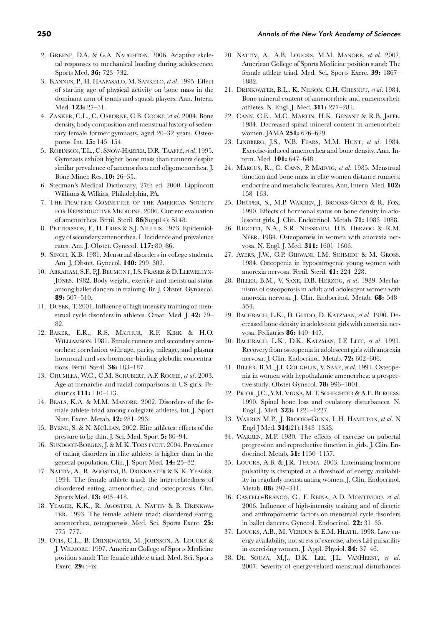- 2. GREENE, D.A. & G.A. NAUGHTON. 2006. Adaptive skeletal responses to mechanical loading during adolescence. Sports Med. **36:** 723–732.
- 3. KANNUS, P., H. HAAPASALO, M. SANKELO, *et al*. 1995. Effect of starting age of physical activity on bone mass in the dominant arm of tennis and squash players. Ann. Intern. Med. **123:** 27–31.
- 4. ZANKER, C.L., C. OSBORNE, C.B. COOKE, *et al*. 2004. Bone density, body composition and menstrual history of sedentary female former gymnasts, aged 20–32 years. Osteoporos. Int. **15:** 145–154.
- 5. ROBINSON, T.L., C. SNOW-HARTER, D.R. TAAFFE, *et al*. 1995. Gymnasts exhibit higher bone mass than runners despite similar prevalence of amenorrhea and oligomenorrhea. J. Bone Miner. Res. **10:** 26–35.
- 6. Stedman's Medical Dictionary, 27th ed. 2000. Lippincott Williams & Wilkins. Philadelphia, PA.
- 7. THE PRACTICE COMMITTEE OF THE AMERICAN SOCIETY FOR REPRODUCTIVE MEDICINE. 2006. Current evaluation of amenorrhea. Fertil. Steril. **86**(Suppl 4): S148.
- 8. PETTERSSON, F., H. FRIES & S.J. NILLIUS. 1973. Epidemiology of secondary amenorrhea. I. Incidence and prevalence rates. Am. J. Obstet. Gynecol. **117:** 80–86.
- 9. SINGH, K.B. 1981. Menstrual disorders in college students. Am. J. Obstet. Gynecol. **140:** 299–302.
- 10. ABRAHAM, S.F., P.J. BEUMONT, I.S. FRASER & D. LLEWELLYN-JONES. 1982. Body weight, exercise and menstrual status among ballet dancers in training. Br. J. Obstet. Gynaecol. **89:** 507–510.
- 11. DUSEK, T. 2001. Influence of high intensity training on menstrual cycle disorders in athletes. Croat. Med. J. **42:** 79– 82.
- 12. BAKER, E.R., R.S. MATHUR, R.F. KIRK & H.O. WILLIAMSON. 1981. Female runners and secondary amenorrhea: correlation with age, parity, mileage, and plasma hormonal and sex-hormone-binding globulin concentrations. Fertil. Steril. **36:** 183–187.
- 13. CHUMLEA, W.C., C.M. SCHUBERT, A.F. ROCHE, *et al*. 2003. Age at menarche and racial comparisons in US girls. Pediatrics **111:** 110–113.
- 14. BEALS, K.A. & M.M. MANORE. 2002. Disorders of the female athlete triad among collegiate athletes. Int. J. Sport Nutr. Exerc. Metab. **12:** 281–293.
- 15. BYRNE, S. & N. MCLEAN. 2002. Elite athletes: effects of the pressure to be thin. J. Sci. Med. Sport **5:** 80–94.
- 16. SUNDGOT-BORGEN, J. & M.K. TORSTVEIT. 2004. Prevalence of eating disorders in elite athletes is higher than in the general population. Clin. J. Sport Med. **14:** 25–32.
- 17. NATTIV, A., R. AGOSTINI, B. DRINKWATER & K.K. YEAGER. 1994. The female athlete triad: the inter-relatedness of disordered eating, amenorrhea, and osteoporosis. Clin. Sports Med. **13:** 405–418.
- 18. YEAGER, K.K., R. AGOSTINI, A. NATTIV & B. DRINKWA-TER. 1993. The female athlete triad: disordered eating, amenorrhea, osteoporosis. Med. Sci. Sports Exerc. **25:** 775–777.
- 19. OTIS, C.L., B. DRINKWATER, M. JOHNSON, A. LOUCKS & J. WILMORE. 1997. American College of Sports Medicine position stand: The female athlete triad. Med. Sci. Sports Exerc. **29:** i–ix.
- 20. NATTIV, A., A.B. LOUCKS, M.M. MANORE, *et al*. 2007. American College of Sports Medicine position stand: The female athlete triad. Med. Sci. Sports Exerc. **39:** 1867– 1882.
- 21. DRINKWATER, B.L., K. NILSON, C.H. CHESNUT, *et al*. 1984. Bone mineral content of amenorrheic and eumenorrheic athletes. N. Engl. J. Med. **311:** 277–281.
- 22. CANN, C.E., M.C. MARTIN, H.K. GENANT & R.B. JAFFE. 1984. Decreased spinal mineral content in amenorrheic women. JAMA **251:** 626–629.
- 23. LINDBERG, J.S., W.B. FEARS, M.M. HUNT, *et al*. 1984. Exercise-induced amenorrhea and bone density. Ann. Intern. Med. **101:** 647–648.
- 24. MARCUS, R., C. CANN, P. MADVIG, *et al*. 1985. Menstrual function and bone mass in elite women distance runners: endocrine and metabolic features. Ann. Intern. Med. **102:** 158–163.
- 25. DHUPER, S., M.P. WARREN, J. BROOKS-GUNN & R. FOX. 1990. Effects of hormonal status on bone density in adolescent girls. J. Clin. Endocrinol. Metab. **71:** 1083–1088.
- 26. RIGOTTI, N.A., S.R. NUSSBAUM, D.B. HERZOG & R.M. NEER. 1984. Osteoporosis in women with anorexia nervosa. N. Engl. J. Med. **311:** 1601–1606.
- 27. AYERS, J.W., G.P. GIDWANI, I.M. SCHMIDT & M. GROSS. 1984. Osteopenia in hypoestrogenic young women with anorexia nervosa. Fertil. Steril. **41:** 224–228.
- 28. BILLER, B.M., V. SAXE, D.B. HERZOG, *et al*. 1989. Mechanisms of osteoporosis in adult and adolescent women with anorexia nervosa. J. Clin. Endocrinol. Metab. **68:** 548– 554.
- 29. BACHRACH, L.K., D. GUIDO, D. KATZMAN, *et al*. 1990. Decreased bone density in adolescent girls with anorexia nervosa. Pediatrics **86:** 440–447.
- 30. BACHRACH, L.K., D.K. KATZMAN, I.F. LITT, *et al*. 1991. Recovery from osteopenia in adolescent girls with anorexia nervosa. J. Clin. Endocrinol. Metab. **72:** 602–606.
- 31. BILLER, B.M., J.F. COUGHLIN, V. SAXE, *et al*. 1991. Osteopenia in women with hypothalamic amenorrhea: a prospective study. Obstet Gynecol. **78:** 996–1001.
- 32. PRIOR, J.C., Y.M. VIGNA, M.T. SCHECHTER & A.E. BURGESS. 1990. Spinal bone loss and ovulatory disturbances. N. Engl. J. Med. **323:** 1221–1227.
- 33. WARREN M.P., J. BROOKS-GUNN, L.H. HAMILTON, *et al*. N Engl J Med. **314**(21):1348–1353.
- 34. WARREN, M.P. 1980. The effects of exercise on pubertal progression and reproductive function in girls. J. Clin. Endocrinol. Metab. **51:** 1150–1157.
- 35. LOUCKS, A.B. & J.R. THUMA. 2003. Luteinizing hormone pulsatility is disrupted at a threshold of energy availability in regularly menstruating women. J. Clin. Endocrinol. Metab. **88:** 297–311.
- 36. CASTELO-BRANCO, C., F. REINA, A.D. MONTIVERO, *et al*. 2006. Influence of high-intensity training and of dietetic and anthropometric factors on menstrual cycle disorders in ballet dancers. Gynecol. Endocrinol. **22:** 31–35.
- 37. LOUCKS, A.B., M. VERDUN & E.M. HEATH. 1998. Low energy availability, not stress of exercise, alters LH pulsatility in exercising women. J. Appl. Physiol. **84:** 37–46.
- 38. DE SOUZA, M.J., D.K. LEE, J.L. VANHEEST, *et al*. 2007. Severity of energy-related menstrual disturbances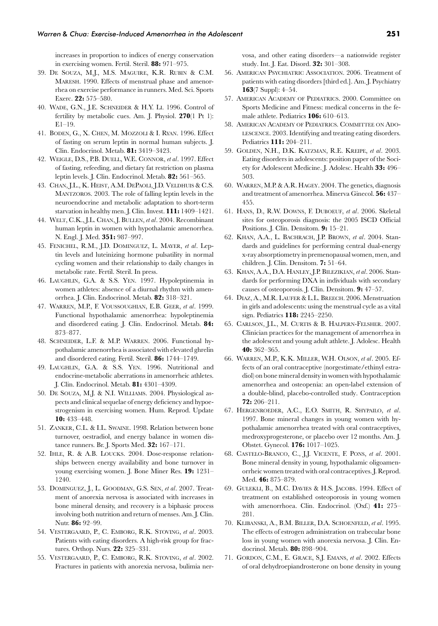increases in proportion to indices of energy conservation in exercising women. Fertil. Steril. **88:** 971–975.

- 39. DE SOUZA, M.J., M.S. MAGUIRE, K.R. RUBIN & C.M. MARESH. 1990. Effects of menstrual phase and amenorrhea on exercise performance in runners. Med. Sci. Sports Exerc. **22:** 575–580.
- 40. WADE, G.N., J.E. SCHNEIDER & H.Y. LI. 1996. Control of fertility by metabolic cues. Am. J. Physiol. **270**(1 Pt 1): E1–19.
- 41. BODEN, G., X. CHEN, M. MOZZOLI & I. RYAN. 1996. Effect of fasting on serum leptin in normal human subjects. J. Clin. Endocrinol. Metab. **81:** 3419–3423.
- 42. WEIGLE, D.S., P.B. DUELL, W.E. CONNOR, *et al*. 1997. Effect of fasting, refeeding, and dietary fat restriction on plasma leptin levels. J. Clin. Endocrinol. Metab. **82:** 561–565.
- 43. CHAN, J.L., K. HEIST, A.M. DEPAOLI, J.D. VELDHUIS & C.S. MANTZOROS. 2003. The role of falling leptin levels in the neuroendocrine and metabolic adaptation to short-term starvation in healthy men. J. Clin. Invest. **111:** 1409–1421.
- 44. WELT, C.K., J.L. CHAN, J. BULLEN, *et al*. 2004. Recombinant human leptin in women with hypothalamic amenorrhea. N. Engl. J. Med. **351:** 987–997.
- 45. FENICHEL, R.M., J.D. DOMINGUEZ, L. MAYER, *et al*. Leptin levels and luteinizing hormone pulsatility in normal cycling women and their relationship to daily changes in metabolic rate. Fertil. Steril. In press.
- 46. LAUGHLIN, G.A. & S.S. YEN. 1997. Hypoleptinemia in women athletes: absence of a diurnal rhythm with amenorrhea. J. Clin. Endocrinol. Metab. **82:** 318–321.
- 47. WARREN, M.P., F. VOUSSOUGHIAN, E.B. GEER, *et al*. 1999. Functional hypothalamic amenorrhea: hypoleptinemia and disordered eating. J. Clin. Endocrinol. Metab. **84:** 873–877.
- 48. SCHNEIDER, L.F. & M.P. WARREN. 2006. Functional hypothalamic amenorrhea is associated with elevated ghrelin and disordered eating. Fertil. Steril. **86:** 1744–1749.
- 49. LAUGHLIN, G.A. & S.S. YEN. 1996. Nutritional and endocrine-metabolic aberrations in amenorrheic athletes. J. Clin. Endocrinol. Metab. **81:** 4301–4309.
- 50. DE SOUZA, M.J. & N.I. WILLIAMS. 2004. Physiological aspects and clinical sequelae of energy deficiency and hypoestrogenism in exercising women. Hum. Reprod. Update **10:** 433–448.
- 51. ZANKER, C.L. & I.L. SWAINE. 1998. Relation between bone turnover, oestradiol, and energy balance in women distance runners. Br. J. Sports Med. **32:** 167–171.
- 52. IHLE, R. & A.B. LOUCKS. 2004. Dose-response relationships between energy availability and bone turnover in young exercising women. J. Bone Miner Res. **19:** 1231– 1240.
- 53. DOMINGUEZ, J., L. GOODMAN, G.S. SEN, *et al*. 2007. Treatment of anorexia nervosa is associated with increases in bone mineral density, and recovery is a biphasic process involving both nutrition and return of menses. Am. J. Clin. Nutr. **86:** 92–99.
- 54. VESTERGAARD, P., C. EMBORG, R.K. STOVING, *et al*. 2003. Patients with eating disorders. A high-risk group for fractures. Orthop. Nurs. **22:** 325–331.
- 55. VESTERGAARD, P., C. EMBORG, R.K. STOVING, *et al*. 2002. Fractures in patients with anorexia nervosa, bulimia ner-

vosa, and other eating disorders—a nationwide register study. Int. J. Eat. Disord. **32:** 301–308.

- 56. AMERICAN PSYCHIATRIC ASSOCIATION. 2006. Treatment of patients with eating disorders [third ed.]. Am. J. Psychiatry **163**(7 Suppl): 4–54.
- 57. AMERICAN ACADEMY OF PEDIATRICS. 2000. Committee on Sports Medicine and Fitness: medical concerns in the female athlete. Pediatrics **106:** 610–613.
- 58. AMERICAN ACADEMY OF PEDIATRICS. COMMITTEE ON ADO-LESCENCE. 2003. Identifying and treating eating disorders. Pediatrics **111:** 204–211.
- 59. GOLDEN, N.H., D.K. KATZMAN, R.E. KREIPE, *et al*. 2003. Eating disorders in adolescents: position paper of the Society for Adolescent Medicine. J. Adolesc. Health **33:** 496– 503.
- 60. WARREN, M.P. & A.R. HAGEY. 2004. The genetics, diagnosis and treatment of amenorrhea. Minerva Ginecol. **56:** 437– 455.
- 61. HANS, D., R.W. DOWNS, F. DUBOEUF, *et al*. 2006. Skeletal sites for osteoporosis diagnosis: the 2005 ISCD Official Positions. J. Clin. Densitom. **9:** 15–21.
- 62. KHAN, A.A., L. BACHRACH, J.P. BROWN, *et al*. 2004. Standards and guidelines for performing central dual-energy x-ray absorptiometry in premenopausal women, men, and children. J. Clin. Densitom. **7:** 51–64.
- 63. KHAN, A.A., D.A. HANLEY, J.P. BILEZIKIAN, *et al*. 2006. Standards for performing DXA in individuals with secondary causes of osteoporosis. J. Clin. Densitom. **9:** 47–57.
- 64. DIAZ, A., M.R. LAUFER & L.L. BREECH. 2006. Menstruation in girls and adolescents: using the menstrual cycle as a vital sign. Pediatrics **118:** 2245–2250.
- 65. CARLSON, J.L., M. CURTIS & B. HALPERN-FELSHER. 2007. Clinician practices for the management of amenorrhea in the adolescent and young adult athlete. J. Adolesc. Health **40:** 362–365.
- 66. WARREN, M.P., K.K. MILLER, W.H. OLSON, *et al*. 2005. Effects of an oral contraceptive (norgestimate/ethinyl estradiol) on bone mineral density in women with hypothalamic amenorrhea and osteopenia: an open-label extension of a double-blind, placebo-controlled study. Contraception **72:** 206–211.
- 67. HERGENROEDER, A.C., E.O. SMITH, R. SHYPAILO, *et al*. 1997. Bone mineral changes in young women with hypothalamic amenorrhea treated with oral contraceptives, medroxyprogesterone, or placebo over 12 months. Am. J. Obstet. Gynecol. **176:** 1017–1025.
- 68. CASTELO-BRANCO, C., J.J. VICENTE, F. PONS, *et al*. 2001. Bone mineral density in young, hypothalamic oligoamenorrheic women treated with oral contraceptives. J. Reprod. Med. **46:** 875–879.
- 69. GULEKLI, B., M.C. DAVIES & H.S. JACOBS. 1994. Effect of treatment on established osteoporosis in young women with amenorrhoea. Clin. Endocrinol. (Oxf.) **41:** 275– 281.
- 70. KLIBANSKI, A., B.M. BILLER, D.A. SCHOENFELD, *et al*. 1995. The effects of estrogen administration on trabecular bone loss in young women with anorexia nervosa. J. Clin. Endocrinol. Metab. **80:** 898–904.
- 71. GORDON, C.M., E. GRACE, S.J. EMANS, *et al*. 2002. Effects of oral dehydroepiandrosterone on bone density in young